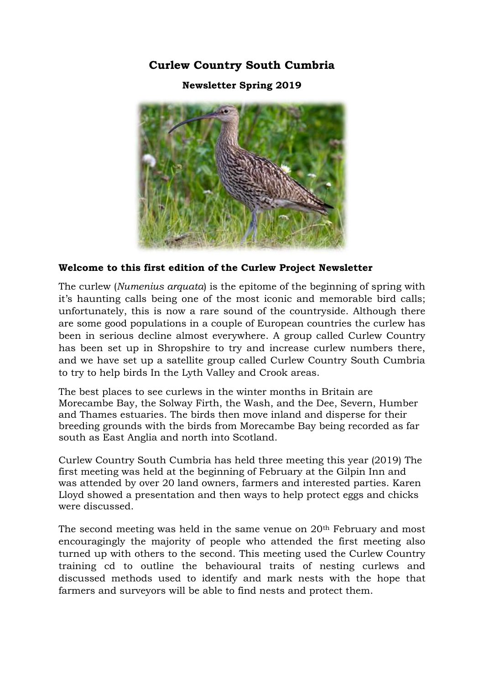**Curlew Country South Cumbria**

**Newsletter Spring 2019**



### **Welcome to this first edition of the Curlew Project Newsletter**

The curlew (*Numenius arquata*) is the epitome of the beginning of spring with it's haunting calls being one of the most iconic and memorable bird calls; unfortunately, this is now a rare sound of the countryside. Although there are some good populations in a couple of European countries the curlew has been in serious decline almost everywhere. A group called Curlew Country has been set up in Shropshire to try and increase curlew numbers there, and we have set up a satellite group called Curlew Country South Cumbria to try to help birds In the Lyth Valley and Crook areas.

The best places to see curlews in the winter months in Britain are Morecambe Bay, the Solway Firth, the Wash, and the Dee, Severn, Humber and Thames estuaries. The birds then move inland and disperse for their breeding grounds with the birds from Morecambe Bay being recorded as far south as East Anglia and north into Scotland.

Curlew Country South Cumbria has held three meeting this year (2019) The first meeting was held at the beginning of February at the Gilpin Inn and was attended by over 20 land owners, farmers and interested parties. Karen Lloyd showed a presentation and then ways to help protect eggs and chicks were discussed.

The second meeting was held in the same venue on 20th February and most encouragingly the majority of people who attended the first meeting also turned up with others to the second. This meeting used the Curlew Country training cd to outline the behavioural traits of nesting curlews and discussed methods used to identify and mark nests with the hope that farmers and surveyors will be able to find nests and protect them.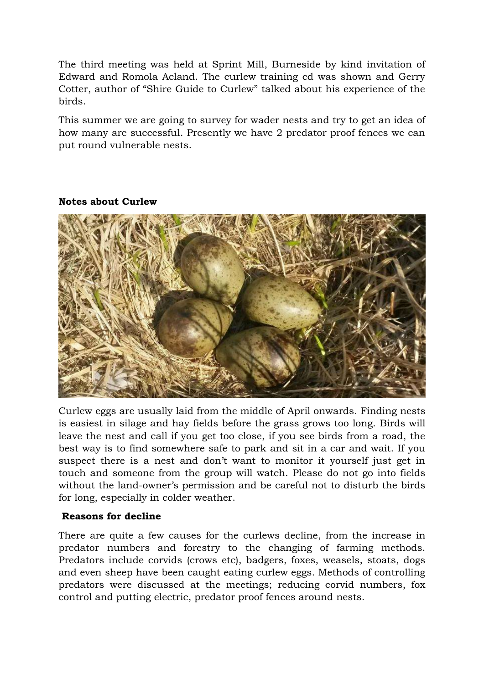The third meeting was held at Sprint Mill, Burneside by kind invitation of Edward and Romola Acland. The curlew training cd was shown and Gerry Cotter, author of "Shire Guide to Curlew" talked about his experience of the birds.

This summer we are going to survey for wader nests and try to get an idea of how many are successful. Presently we have 2 predator proof fences we can put round vulnerable nests.



## **Notes about Curlew**

Curlew eggs are usually laid from the middle of April onwards. Finding nests is easiest in silage and hay fields before the grass grows too long. Birds will leave the nest and call if you get too close, if you see birds from a road, the best way is to find somewhere safe to park and sit in a car and wait. If you suspect there is a nest and don't want to monitor it yourself just get in touch and someone from the group will watch. Please do not go into fields without the land-owner's permission and be careful not to disturb the birds for long, especially in colder weather.

# **Reasons for decline**

There are quite a few causes for the curlews decline, from the increase in predator numbers and forestry to the changing of farming methods. Predators include corvids (crows etc), badgers, foxes, weasels, stoats, dogs and even sheep have been caught eating curlew eggs. Methods of controlling predators were discussed at the meetings; reducing corvid numbers, fox control and putting electric, predator proof fences around nests.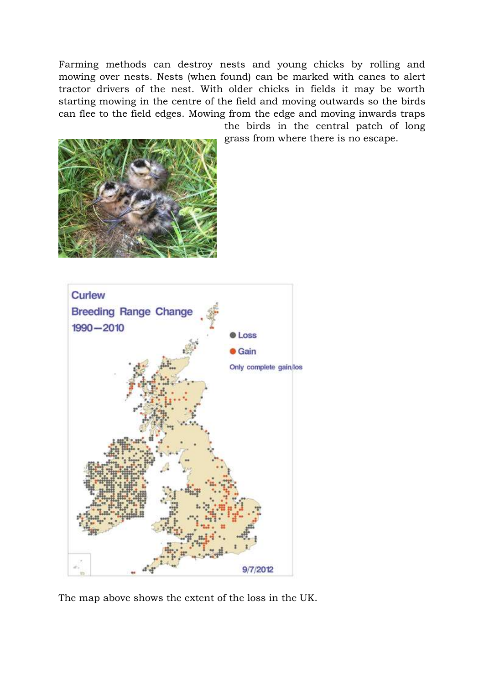Farming methods can destroy nests and young chicks by rolling and mowing over nests. Nests (when found) can be marked with canes to alert tractor drivers of the nest. With older chicks in fields it may be worth starting mowing in the centre of the field and moving outwards so the birds can flee to the field edges. Mowing from the edge and moving inwards traps

> the birds in the central patch of long grass from where there is no escape.





The map above shows the extent of the loss in the UK.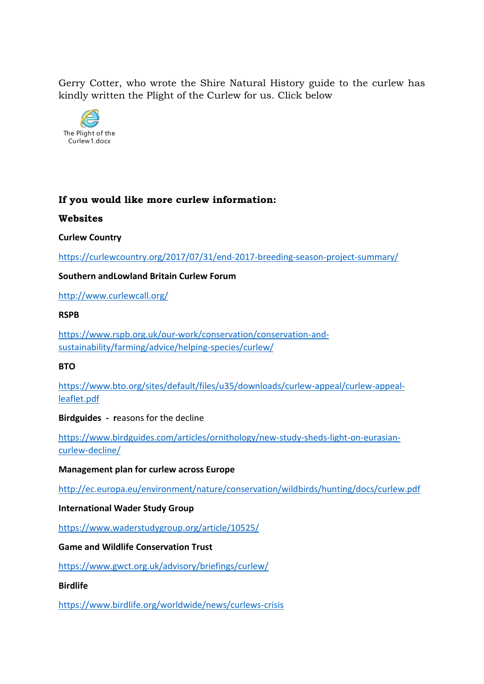Gerry Cotter, who wrote the Shire Natural History guide to the curlew has kindly written the Plight of the Curlew for us. Click below



# **If you would like more curlew information:**

#### **Websites**

**Curlew Country**

<https://curlewcountry.org/2017/07/31/end-2017-breeding-season-project-summary/>

### **Southern andLowland Britain Curlew Forum**

<http://www.curlewcall.org/>

#### **RSPB**

[https://www.rspb.org.uk/our-work/conservation/conservation-and](https://www.rspb.org.uk/our-work/conservation/conservation-and-sustainability/farming/advice/helping-species/curlew/)[sustainability/farming/advice/helping-species/curlew/](https://www.rspb.org.uk/our-work/conservation/conservation-and-sustainability/farming/advice/helping-species/curlew/)

#### **BTO**

[https://www.bto.org/sites/default/files/u35/downloads/curlew-appeal/curlew-appeal](https://www.bto.org/sites/default/files/u35/downloads/curlew-appeal/curlew-appeal-leaflet.pdf)[leaflet.pdf](https://www.bto.org/sites/default/files/u35/downloads/curlew-appeal/curlew-appeal-leaflet.pdf)

#### **Birdguides - r**easons for the decline

[https://www.birdguides.com/articles/ornithology/new-study-sheds-light-on-eurasian](https://www.birdguides.com/articles/ornithology/new-study-sheds-light-on-eurasian-curlew-decline/)[curlew-decline/](https://www.birdguides.com/articles/ornithology/new-study-sheds-light-on-eurasian-curlew-decline/)

#### **Management plan for curlew across Europe**

<http://ec.europa.eu/environment/nature/conservation/wildbirds/hunting/docs/curlew.pdf>

#### **International Wader Study Group**

<https://www.waderstudygroup.org/article/10525/>

### **Game and Wildlife Conservation Trust**

<https://www.gwct.org.uk/advisory/briefings/curlew/>

#### **Birdlife**

<https://www.birdlife.org/worldwide/news/curlews-crisis>